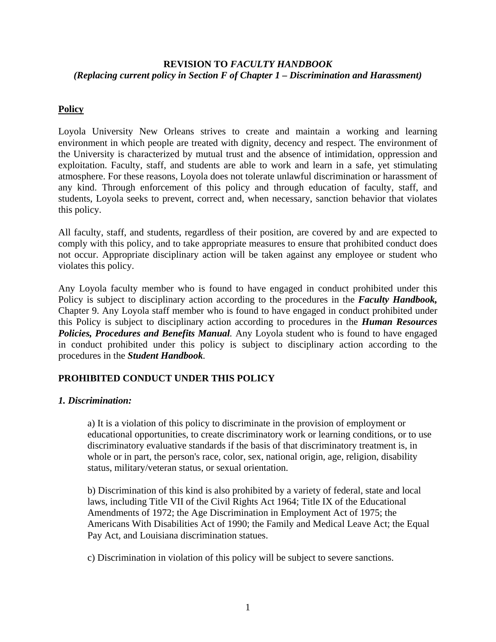## **REVISION TO** *FACULTY HANDBOOK (Replacing current policy in Section F of Chapter 1 – Discrimination and Harassment)*

# **Policy**

Loyola University New Orleans strives to create and maintain a working and learning environment in which people are treated with dignity, decency and respect. The environment of the University is characterized by mutual trust and the absence of intimidation, oppression and exploitation. Faculty, staff, and students are able to work and learn in a safe, yet stimulating atmosphere. For these reasons, Loyola does not tolerate unlawful discrimination or harassment of any kind. Through enforcement of this policy and through education of faculty, staff, and students, Loyola seeks to prevent, correct and, when necessary, sanction behavior that violates this policy.

All faculty, staff, and students, regardless of their position, are covered by and are expected to comply with this policy, and to take appropriate measures to ensure that prohibited conduct does not occur. Appropriate disciplinary action will be taken against any employee or student who violates this policy.

Any Loyola faculty member who is found to have engaged in conduct prohibited under this Policy is subject to disciplinary action according to the procedures in the *Faculty Handbook,*  Chapter 9. Any Loyola staff member who is found to have engaged in conduct prohibited under this Policy is subject to disciplinary action according to procedures in the *Human Resources*  **Policies, Procedures and Benefits Manual**. Any Loyola student who is found to have engaged in conduct prohibited under this policy is subject to disciplinary action according to the procedures in the *Student Handbook.* 

## **PROHIBITED CONDUCT UNDER THIS POLICY**

## *1. Discrimination:*

a) It is a violation of this policy to discriminate in the provision of employment or educational opportunities, to create discriminatory work or learning conditions, or to use discriminatory evaluative standards if the basis of that discriminatory treatment is, in whole or in part, the person's race, color, sex, national origin, age, religion, disability status, military/veteran status, or sexual orientation.

b) Discrimination of this kind is also prohibited by a variety of federal, state and local laws, including Title VII of the Civil Rights Act 1964; Title IX of the Educational Amendments of 1972; the Age Discrimination in Employment Act of 1975; the Americans With Disabilities Act of 1990; the Family and Medical Leave Act; the Equal Pay Act, and Louisiana discrimination statues.

c) Discrimination in violation of this policy will be subject to severe sanctions.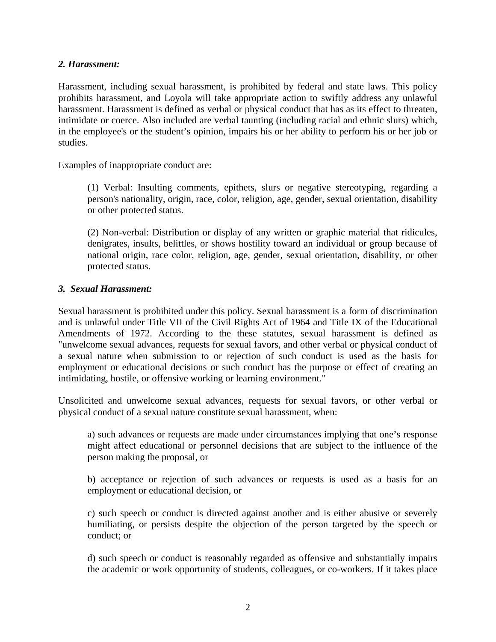### *2. Harassment:*

Harassment, including sexual harassment, is prohibited by federal and state laws. This policy prohibits harassment, and Loyola will take appropriate action to swiftly address any unlawful harassment. Harassment is defined as verbal or physical conduct that has as its effect to threaten, intimidate or coerce. Also included are verbal taunting (including racial and ethnic slurs) which, in the employee's or the student's opinion, impairs his or her ability to perform his or her job or studies.

Examples of inappropriate conduct are:

(1) Verbal: Insulting comments, epithets, slurs or negative stereotyping, regarding a person's nationality, origin, race, color, religion, age, gender, sexual orientation, disability or other protected status.

(2) Non-verbal: Distribution or display of any written or graphic material that ridicules, denigrates, insults, belittles, or shows hostility toward an individual or group because of national origin, race color, religion, age, gender, sexual orientation, disability, or other protected status.

### *3. Sexual Harassment:*

Sexual harassment is prohibited under this policy. Sexual harassment is a form of discrimination and is unlawful under Title VII of the Civil Rights Act of 1964 and Title IX of the Educational Amendments of 1972. According to the these statutes, sexual harassment is defined as "unwelcome sexual advances, requests for sexual favors, and other verbal or physical conduct of a sexual nature when submission to or rejection of such conduct is used as the basis for employment or educational decisions or such conduct has the purpose or effect of creating an intimidating, hostile, or offensive working or learning environment."

Unsolicited and unwelcome sexual advances, requests for sexual favors, or other verbal or physical conduct of a sexual nature constitute sexual harassment, when:

a) such advances or requests are made under circumstances implying that one's response might affect educational or personnel decisions that are subject to the influence of the person making the proposal, or

b) acceptance or rejection of such advances or requests is used as a basis for an employment or educational decision, or

c) such speech or conduct is directed against another and is either abusive or severely humiliating, or persists despite the objection of the person targeted by the speech or conduct; or

d) such speech or conduct is reasonably regarded as offensive and substantially impairs the academic or work opportunity of students, colleagues, or co-workers. If it takes place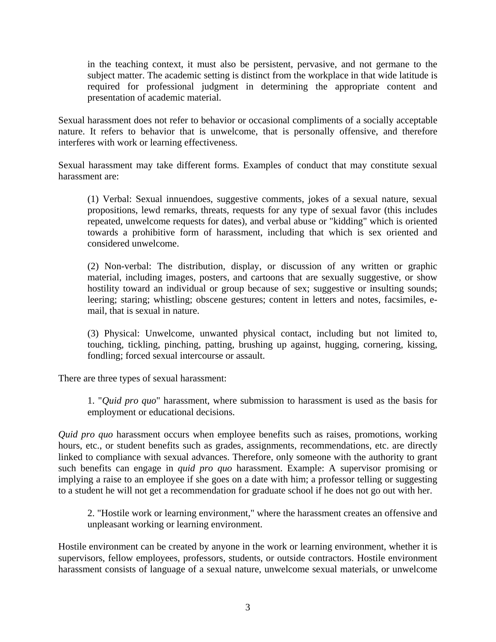in the teaching context, it must also be persistent, pervasive, and not germane to the subject matter. The academic setting is distinct from the workplace in that wide latitude is required for professional judgment in determining the appropriate content and presentation of academic material.

Sexual harassment does not refer to behavior or occasional compliments of a socially acceptable nature. It refers to behavior that is unwelcome, that is personally offensive, and therefore interferes with work or learning effectiveness.

Sexual harassment may take different forms. Examples of conduct that may constitute sexual harassment are:

(1) Verbal: Sexual innuendoes, suggestive comments, jokes of a sexual nature, sexual propositions, lewd remarks, threats, requests for any type of sexual favor (this includes repeated, unwelcome requests for dates), and verbal abuse or "kidding" which is oriented towards a prohibitive form of harassment, including that which is sex oriented and considered unwelcome.

(2) Non-verbal: The distribution, display, or discussion of any written or graphic material, including images, posters, and cartoons that are sexually suggestive, or show hostility toward an individual or group because of sex; suggestive or insulting sounds; leering; staring; whistling; obscene gestures; content in letters and notes, facsimiles, email, that is sexual in nature.

(3) Physical: Unwelcome, unwanted physical contact, including but not limited to, touching, tickling, pinching, patting, brushing up against, hugging, cornering, kissing, fondling; forced sexual intercourse or assault.

There are three types of sexual harassment:

1. "*Quid pro quo*" harassment, where submission to harassment is used as the basis for employment or educational decisions.

*Quid pro quo* harassment occurs when employee benefits such as raises, promotions, working hours, etc., or student benefits such as grades, assignments, recommendations, etc. are directly linked to compliance with sexual advances. Therefore, only someone with the authority to grant such benefits can engage in *quid pro quo* harassment. Example: A supervisor promising or implying a raise to an employee if she goes on a date with him; a professor telling or suggesting to a student he will not get a recommendation for graduate school if he does not go out with her.

2. "Hostile work or learning environment," where the harassment creates an offensive and unpleasant working or learning environment.

Hostile environment can be created by anyone in the work or learning environment, whether it is supervisors, fellow employees, professors, students, or outside contractors. Hostile environment harassment consists of language of a sexual nature, unwelcome sexual materials, or unwelcome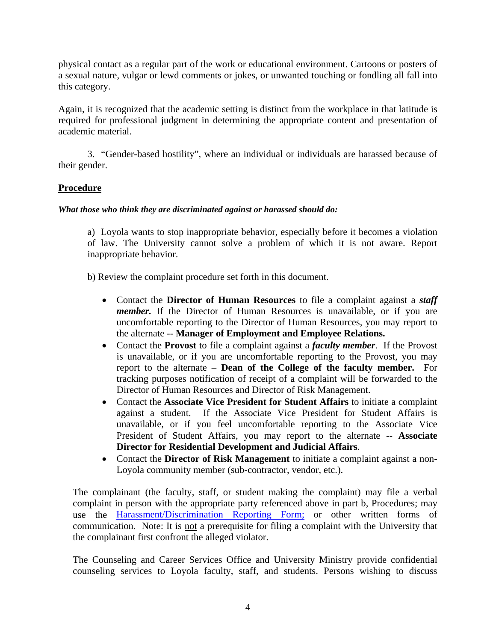physical contact as a regular part of the work or educational environment. Cartoons or posters of a sexual nature, vulgar or lewd comments or jokes, or unwanted touching or fondling all fall into this category.

Again, it is recognized that the academic setting is distinct from the workplace in that latitude is required for professional judgment in determining the appropriate content and presentation of academic material.

3. "Gender-based hostility", where an individual or individuals are harassed because of their gender.

## **Procedure**

#### *What those who think they are discriminated against or harassed should do:*

a) Loyola wants to stop inappropriate behavior, especially before it becomes a violation of law. The University cannot solve a problem of which it is not aware. Report inappropriate behavior.

b) Review the complaint procedure set forth in this document.

- Contact the **Director of Human Resources** to file a complaint against a *staff member.* If the Director of Human Resources is unavailable, or if you are uncomfortable reporting to the Director of Human Resources, you may report to the alternate -- **Manager of Employment and Employee Relations.**
- Contact the **Provost** to file a complaint against a *faculty member*. If the Provost is unavailable, or if you are uncomfortable reporting to the Provost, you may report to the alternate – **Dean of the College of the faculty member.** For tracking purposes notification of receipt of a complaint will be forwarded to the Director of Human Resources and Director of Risk Management.
- Contact the **Associate Vice President for Student Affairs** to initiate a complaint against a student. If the Associate Vice President for Student Affairs is unavailable, or if you feel uncomfortable reporting to the Associate Vice President of Student Affairs, you may report to the alternate -- **Associate Director for Residential Development and Judicial Affairs**.
- Contact the **Director of Risk Management** to initiate a complaint against a non-Loyola community member (sub-contractor, vendor, etc.).

The complainant (the faculty, staff, or student making the complaint) may file a verbal complaint in person with the appropriate party referenced above in part b, Procedures; may use the Harassment/Discrimination Reporting Form; or other written forms of communication. Note: It is not a prerequisite for filing a complaint with the University that the complainant first confront the alleged violator.

The Counseling and Career Services Office and University Ministry provide confidential counseling services to Loyola faculty, staff, and students. Persons wishing to discuss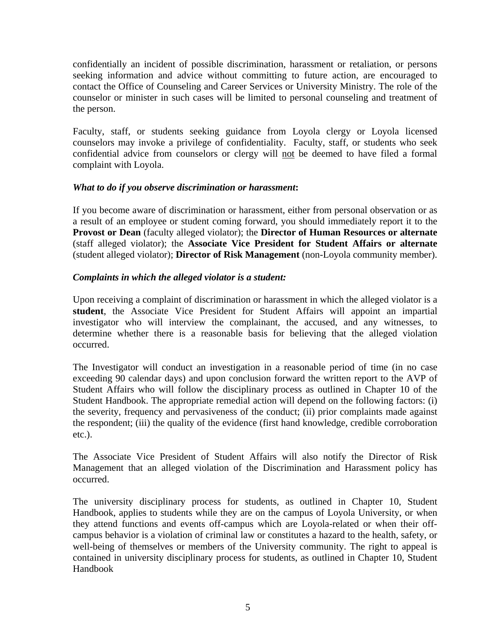confidentially an incident of possible discrimination, harassment or retaliation, or persons seeking information and advice without committing to future action, are encouraged to contact the Office of Counseling and Career Services or University Ministry. The role of the counselor or minister in such cases will be limited to personal counseling and treatment of the person.

Faculty, staff, or students seeking guidance from Loyola clergy or Loyola licensed counselors may invoke a privilege of confidentiality. Faculty, staff, or students who seek confidential advice from counselors or clergy will not be deemed to have filed a formal complaint with Loyola.

### *What to do if you observe discrimination or harassment***:**

If you become aware of discrimination or harassment, either from personal observation or as a result of an employee or student coming forward, you should immediately report it to the **Provost or Dean** (faculty alleged violator); the **Director of Human Resources or alternate** (staff alleged violator); the **Associate Vice President for Student Affairs or alternate**  (student alleged violator); **Director of Risk Management** (non-Loyola community member).

### *Complaints in which the alleged violator is a student:*

Upon receiving a complaint of discrimination or harassment in which the alleged violator is a **student**, the Associate Vice President for Student Affairs will appoint an impartial investigator who will interview the complainant, the accused, and any witnesses, to determine whether there is a reasonable basis for believing that the alleged violation occurred.

The Investigator will conduct an investigation in a reasonable period of time (in no case exceeding 90 calendar days) and upon conclusion forward the written report to the AVP of Student Affairs who will follow the disciplinary process as outlined in Chapter 10 of the Student Handbook. The appropriate remedial action will depend on the following factors: (i) the severity, frequency and pervasiveness of the conduct; (ii) prior complaints made against the respondent; (iii) the quality of the evidence (first hand knowledge, credible corroboration etc.).

The Associate Vice President of Student Affairs will also notify the Director of Risk Management that an alleged violation of the Discrimination and Harassment policy has occurred.

The university disciplinary process for students, as outlined in Chapter 10, Student Handbook, applies to students while they are on the campus of Loyola University, or when they attend functions and events off-campus which are Loyola-related or when their offcampus behavior is a violation of criminal law or constitutes a hazard to the health, safety, or well-being of themselves or members of the University community. The right to appeal is contained in university disciplinary process for students, as outlined in Chapter 10, Student Handbook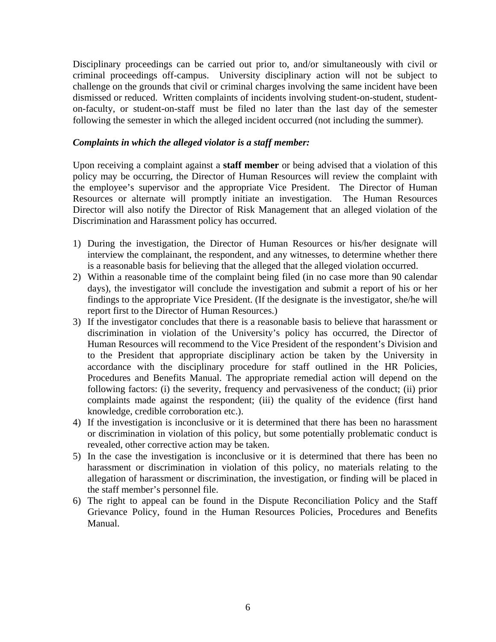Disciplinary proceedings can be carried out prior to, and/or simultaneously with civil or criminal proceedings off-campus. University disciplinary action will not be subject to challenge on the grounds that civil or criminal charges involving the same incident have been dismissed or reduced. Written complaints of incidents involving student-on-student, studenton-faculty, or student-on-staff must be filed no later than the last day of the semester following the semester in which the alleged incident occurred (not including the summer).

#### *Complaints in which the alleged violator is a staff member:*

Upon receiving a complaint against a **staff member** or being advised that a violation of this policy may be occurring, the Director of Human Resources will review the complaint with the employee's supervisor and the appropriate Vice President. The Director of Human Resources or alternate will promptly initiate an investigation. The Human Resources Director will also notify the Director of Risk Management that an alleged violation of the Discrimination and Harassment policy has occurred.

- 1) During the investigation, the Director of Human Resources or his/her designate will interview the complainant, the respondent, and any witnesses, to determine whether there is a reasonable basis for believing that the alleged that the alleged violation occurred.
- 2) Within a reasonable time of the complaint being filed (in no case more than 90 calendar days), the investigator will conclude the investigation and submit a report of his or her findings to the appropriate Vice President. (If the designate is the investigator, she/he will report first to the Director of Human Resources.)
- 3) If the investigator concludes that there is a reasonable basis to believe that harassment or discrimination in violation of the University's policy has occurred, the Director of Human Resources will recommend to the Vice President of the respondent's Division and to the President that appropriate disciplinary action be taken by the University in accordance with the disciplinary procedure for staff outlined in the HR Policies, Procedures and Benefits Manual. The appropriate remedial action will depend on the following factors: (i) the severity, frequency and pervasiveness of the conduct; (ii) prior complaints made against the respondent; (iii) the quality of the evidence (first hand knowledge, credible corroboration etc.).
- 4) If the investigation is inconclusive or it is determined that there has been no harassment or discrimination in violation of this policy, but some potentially problematic conduct is revealed, other corrective action may be taken.
- 5) In the case the investigation is inconclusive or it is determined that there has been no harassment or discrimination in violation of this policy, no materials relating to the allegation of harassment or discrimination, the investigation, or finding will be placed in the staff member's personnel file.
- 6) The right to appeal can be found in the Dispute Reconciliation Policy and the Staff Grievance Policy, found in the Human Resources Policies, Procedures and Benefits Manual.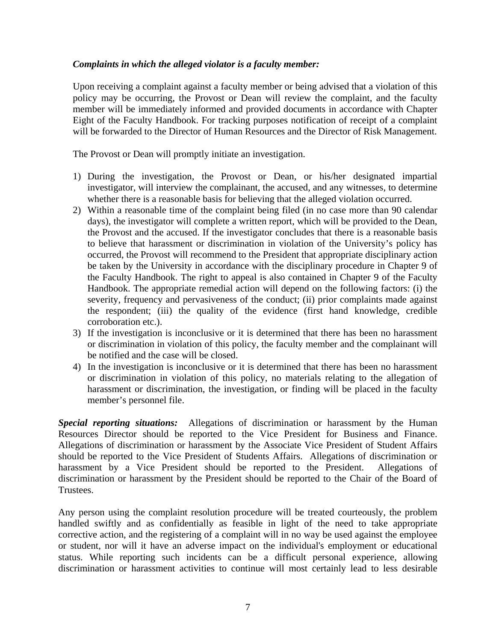### *Complaints in which the alleged violator is a faculty member:*

Upon receiving a complaint against a faculty member or being advised that a violation of this policy may be occurring, the Provost or Dean will review the complaint, and the faculty member will be immediately informed and provided documents in accordance with Chapter Eight of the Faculty Handbook. For tracking purposes notification of receipt of a complaint will be forwarded to the Director of Human Resources and the Director of Risk Management.

The Provost or Dean will promptly initiate an investigation.

- 1) During the investigation, the Provost or Dean, or his/her designated impartial investigator, will interview the complainant, the accused, and any witnesses, to determine whether there is a reasonable basis for believing that the alleged violation occurred.
- 2) Within a reasonable time of the complaint being filed (in no case more than 90 calendar days), the investigator will complete a written report, which will be provided to the Dean, the Provost and the accused. If the investigator concludes that there is a reasonable basis to believe that harassment or discrimination in violation of the University's policy has occurred, the Provost will recommend to the President that appropriate disciplinary action be taken by the University in accordance with the disciplinary procedure in Chapter 9 of the Faculty Handbook. The right to appeal is also contained in Chapter 9 of the Faculty Handbook. The appropriate remedial action will depend on the following factors: (i) the severity, frequency and pervasiveness of the conduct; (ii) prior complaints made against the respondent; (iii) the quality of the evidence (first hand knowledge, credible corroboration etc.).
- 3) If the investigation is inconclusive or it is determined that there has been no harassment or discrimination in violation of this policy, the faculty member and the complainant will be notified and the case will be closed.
- 4) In the investigation is inconclusive or it is determined that there has been no harassment or discrimination in violation of this policy, no materials relating to the allegation of harassment or discrimination, the investigation, or finding will be placed in the faculty member's personnel file.

*Special reporting situations:* Allegations of discrimination or harassment by the Human Resources Director should be reported to the Vice President for Business and Finance. Allegations of discrimination or harassment by the Associate Vice President of Student Affairs should be reported to the Vice President of Students Affairs. Allegations of discrimination or harassment by a Vice President should be reported to the President. Allegations of discrimination or harassment by the President should be reported to the Chair of the Board of Trustees.

Any person using the complaint resolution procedure will be treated courteously, the problem handled swiftly and as confidentially as feasible in light of the need to take appropriate corrective action, and the registering of a complaint will in no way be used against the employee or student, nor will it have an adverse impact on the individual's employment or educational status. While reporting such incidents can be a difficult personal experience, allowing discrimination or harassment activities to continue will most certainly lead to less desirable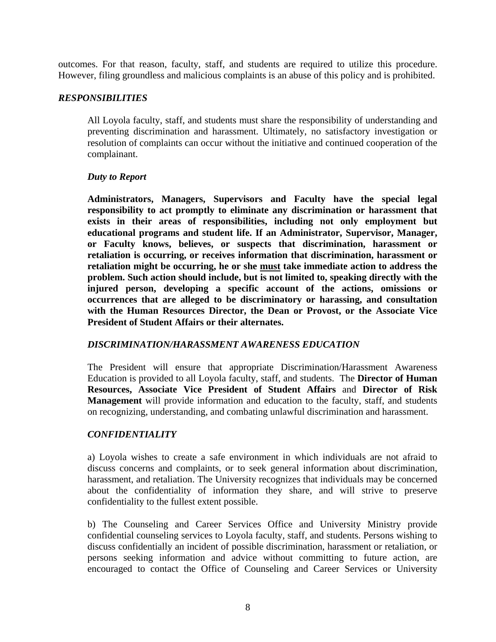outcomes. For that reason, faculty, staff, and students are required to utilize this procedure. However, filing groundless and malicious complaints is an abuse of this policy and is prohibited.

### *RESPONSIBILITIES*

All Loyola faculty, staff, and students must share the responsibility of understanding and preventing discrimination and harassment. Ultimately, no satisfactory investigation or resolution of complaints can occur without the initiative and continued cooperation of the complainant.

#### *Duty to Report*

**Administrators, Managers, Supervisors and Faculty have the special legal responsibility to act promptly to eliminate any discrimination or harassment that exists in their areas of responsibilities, including not only employment but educational programs and student life. If an Administrator, Supervisor, Manager, or Faculty knows, believes, or suspects that discrimination, harassment or retaliation is occurring, or receives information that discrimination, harassment or retaliation might be occurring, he or she must take immediate action to address the problem. Such action should include, but is not limited to, speaking directly with the injured person, developing a specific account of the actions, omissions or occurrences that are alleged to be discriminatory or harassing, and consultation with the Human Resources Director, the Dean or Provost, or the Associate Vice President of Student Affairs or their alternates.** 

#### *DISCRIMINATION/HARASSMENT AWARENESS EDUCATION*

The President will ensure that appropriate Discrimination/Harassment Awareness Education is provided to all Loyola faculty, staff, and students. The **Director of Human Resources, Associate Vice President of Student Affairs** and **Director of Risk Management** will provide information and education to the faculty, staff, and students on recognizing, understanding, and combating unlawful discrimination and harassment.

## *CONFIDENTIALITY*

a) Loyola wishes to create a safe environment in which individuals are not afraid to discuss concerns and complaints, or to seek general information about discrimination, harassment, and retaliation. The University recognizes that individuals may be concerned about the confidentiality of information they share, and will strive to preserve confidentiality to the fullest extent possible.

b) The Counseling and Career Services Office and University Ministry provide confidential counseling services to Loyola faculty, staff, and students. Persons wishing to discuss confidentially an incident of possible discrimination, harassment or retaliation, or persons seeking information and advice without committing to future action, are encouraged to contact the Office of Counseling and Career Services or University